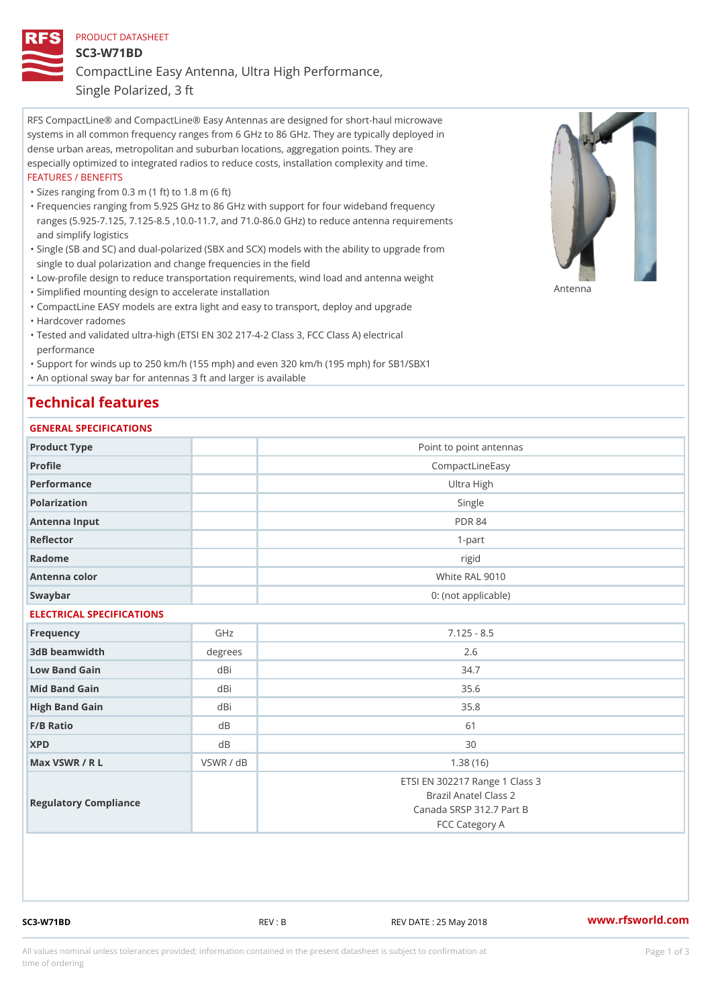## PRODUCT DATASHEET SC3-W71BD CompactLine Easy Antenna, Ultra High Performance,

Single Polarized, 3 ft

RFS CompactLine® and CompactLine® Easy Antennas are designed for short-haul microwave systems in all common frequency ranges from 6 GHz to 86 GHz. They are typically deployed in dense urban areas, metropolitan and suburban locations, aggregation points. They are especially optimized to integrated radios to reduce costs, installation complexity and time. FEATURES / BENEFITS

"Sizes ranging from 0.3 m (1 ft) to 1.8 m (6 ft)

- Frequencies ranging from 5.925 GHz to 86 GHz with support for four wideband frequency " ranges (5.925-7.125, 7.125-8.5 ,10.0-11.7, and 71.0-86.0 GHz) to reduce antenna requirements and simplify logistics
- Single (SB and SC) and dual-polarized (SBX and SCX) models with the ability to upgrade from " single to dual polarization and change frequencies in the field
- "Low-profile design to reduce transportation requirements, wind load and antenna weight
- "Simplified mounting design to accelerate installation

 "CompactLine EASY models are extra light and easy to transport, deploy and upgrade "Hardcover radomes

Tested and validated ultra-high (ETSI EN 302 217-4-2 Class 3, FCC Class A) electrical " performance

 "Support for winds up to 250 km/h (155 mph) and even 320 km/h (195 mph) for SB1/SBX1 "An optional sway bar for antennas 3 ft and larger is available

## Technical features

## GENERAL SPECIFICATIONS

| Product Type              |                | Point to point antennas                                                                               |
|---------------------------|----------------|-------------------------------------------------------------------------------------------------------|
| Profile                   |                | CompactLineEasy                                                                                       |
| Performance               |                | Ultra High                                                                                            |
| Polarization              |                | Single                                                                                                |
| Antenna Input             |                | <b>PDR 84</b>                                                                                         |
| Reflector                 |                | $1 - p$ art                                                                                           |
| Radome                    |                | rigid                                                                                                 |
| Antenna color             |                | White RAL 9010                                                                                        |
| Swaybar                   |                | 0: (not applicable)                                                                                   |
| ELECTRICAL SPECIFICATIONS |                |                                                                                                       |
| Frequency                 | GHz            | $7.125 - 8.5$                                                                                         |
| 3dB beamwidth             | degrees        | 2.6                                                                                                   |
| Low Band Gain             | dBi            | 34.7                                                                                                  |
| Mid Band Gain             | dBi            | 35.6                                                                                                  |
| High Band Gain            | dBi            | 35.8                                                                                                  |
| $F/B$ Ratio               | d <sub>B</sub> | 61                                                                                                    |
| <b>XPD</b>                | d <sub>B</sub> | 30                                                                                                    |
| Max VSWR / R L            | VSWR / dB      | 1.38(16)                                                                                              |
| Regulatory Compliance     |                | ETSI EN 302217 Range 1 Class 3<br>Brazil Anatel Class 2<br>Canada SRSP 312.7 Part B<br>FCC Category A |

SC3-W71BD REV : B REV DATE : 25 May 2018 [www.](https://www.rfsworld.com)rfsworld.com

Antenna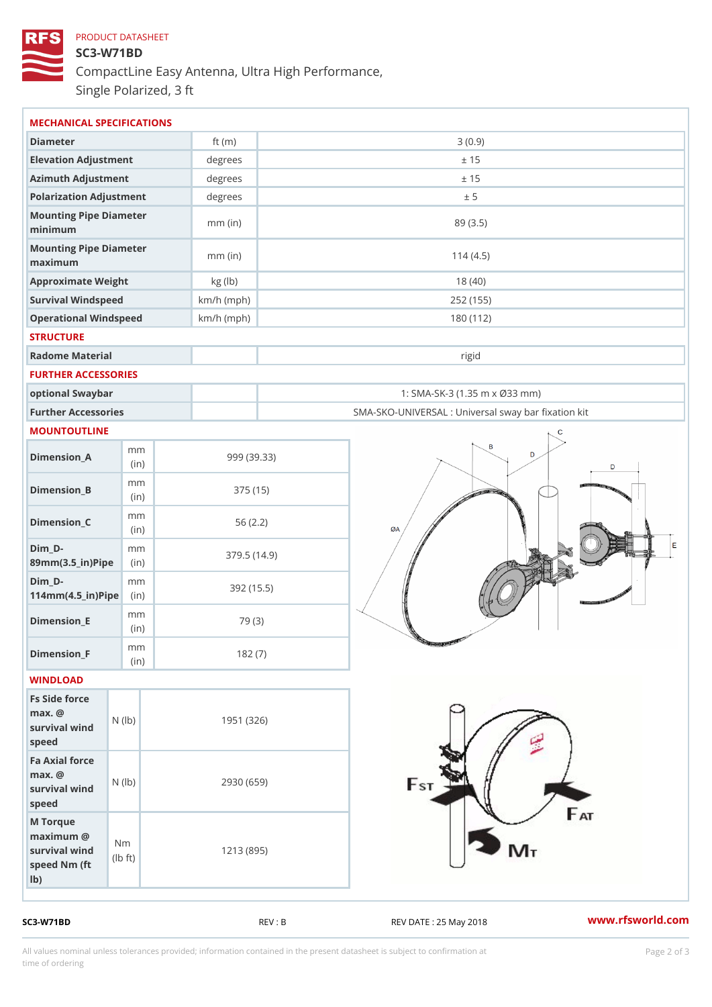## PRODUCT DATASHEET SC3-W71BD CompactLine Easy Antenna, Ultra High Performance, Single Polarized, 3 ft

| MECHANICAL SPECIFICATIONS                                                                                |              |                                                   |
|----------------------------------------------------------------------------------------------------------|--------------|---------------------------------------------------|
| Diameter                                                                                                 | ft $(m)$     | 3(0.9)                                            |
| Elevation Adjustment                                                                                     | degrees      | ± 15                                              |
| Azimuth Adjustment                                                                                       | degrees      | ± 15                                              |
| Polarization Adjustment                                                                                  | degrees      | ± 5                                               |
| Mounting Pipe Diameter<br>minimum                                                                        | $mm$ (in)    | 89 (3.5)                                          |
| Mounting Pipe Diameter<br>maximum                                                                        | $mm$ (in)    | 114(4.5)                                          |
| Approximate Weight                                                                                       | kg (lb)      | 18(40)                                            |
| Survival Windspeed                                                                                       | $km/h$ (mph) | 252 (155)                                         |
| Operational Windspeed                                                                                    | $km/h$ (mph) | 180 (112)                                         |
| <b>STRUCTURE</b>                                                                                         |              |                                                   |
| Radome Material                                                                                          |              | rigid                                             |
| FURTHER ACCESSORIES                                                                                      |              |                                                   |
| optional Swaybar                                                                                         |              | 1: SMA-SK-3 (1.35 m x Ø33 mm)                     |
| Further Accessories                                                                                      |              | SMA-SKO-UNIVERSAL : Universal sway bar fixation l |
| MOUNTOUTLINE                                                                                             |              |                                                   |
| m m<br>$Dimenision_A$<br>(in)                                                                            |              | 999 (39.33)                                       |
| m m<br>$Dimension_B$<br>(in)                                                                             |              | 375(15)                                           |
| m m<br>$Dimension_C$<br>(in)                                                                             |              | 56(2.2)                                           |
| $Dim_D - D -$<br>m m<br>89mm (3.5_in) Pi(pine)                                                           |              | 379.5(14.9)                                       |
| $Dim_D - D -$<br>m m<br>$114$ m m $(4.5$ _ ir $)$ $R$ ii p $e$                                           |              | 392 (15.5)                                        |
| m m<br>$Dimension$ = E<br>(in)                                                                           |              | 79 (3)                                            |
| m m<br>$Dimen sion_F$<br>(in)                                                                            |              | 182(7)                                            |
| WINDLOAD                                                                                                 |              |                                                   |
| Fs Side force<br>$max.$ @<br>(1b)<br>survival wind<br>speed                                              |              | 1951 (326)                                        |
| Fa Axial force<br>$max.$ @<br>survival $wined$ ( $\vert b)$ )<br>speed                                   |              | 2930 (659)                                        |
| M Torque<br>$maximum$ @<br>N <sub>m</sub><br>survival wind<br>$\pm t$ )<br>(Ib<br>speed Nm (ft<br>$1b$ ) |              | 1213 (895)                                        |

SC3-W71BD REV : B REV : REV DATE : 25 May 2018 WWW.rfsworld.com